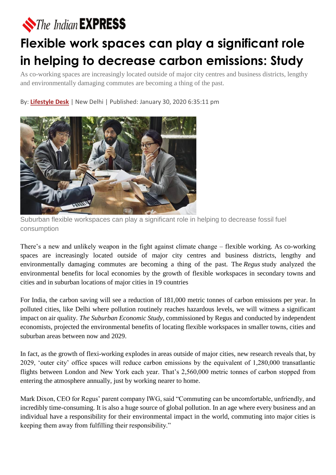## The Indian **EXPRESS**

## **Flexible work spaces can play a significant role in helping to decrease carbon emissions: Study**

As co-working spaces are increasingly located outside of major city centres and business districts, lengthy and environmentally damaging commutes are becoming a thing of the past.

By: **[Lifestyle Desk](https://indianexpress.com/agency/lifestyle-desk/)** | New Delhi | Published: January 30, 2020 6:35:11 pm



Suburban flexible workspaces can play a significant role in helping to decrease fossil fuel consumption

There's a new and unlikely weapon in the fight against climate change – flexible working. As co-working spaces are increasingly located outside of major city centres and business districts, lengthy and environmentally damaging commutes are becoming a thing of the past. The *Regus* study analyzed the environmental benefits for local economies by the growth of flexible workspaces in secondary towns and cities and in suburban locations of major cities in 19 countries

For India, the carbon saving will see a reduction of 181,000 metric tonnes of carbon emissions per year. In polluted cities, like Delhi where pollution routinely reaches hazardous levels, we will witness a significant impact on air quality. *The Suburban Economic Study*, commissioned by Regus and conducted by independent economists, projected the environmental benefits of locating flexible workspaces in smaller towns, cities and suburban areas between now and 2029.

In fact, as the growth of flexi-working explodes in areas outside of major cities, new research reveals that, by 2029, 'outer city' office spaces will reduce carbon emissions by the equivalent of 1,280,000 transatlantic flights between London and New York each year. That's 2,560,000 metric tonnes of carbon stopped from entering the atmosphere annually, just by working nearer to home.

Mark Dixon, CEO for Regus' parent company IWG, said "Commuting can be uncomfortable, unfriendly, and incredibly time-consuming. It is also a huge source of global pollution. In an age where every business and an individual have a responsibility for their environmental impact in the world, commuting into major cities is keeping them away from fulfilling their responsibility."